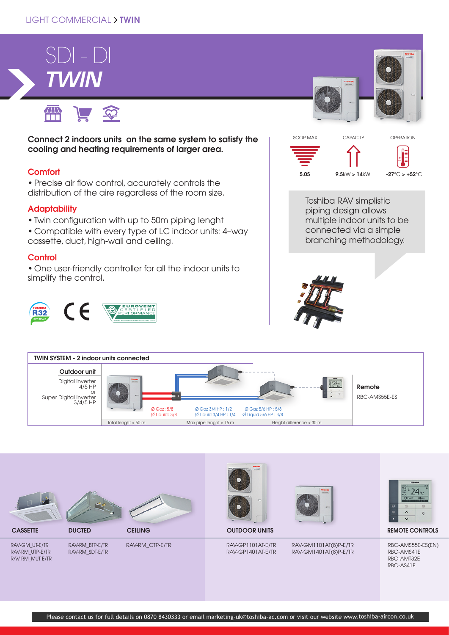### LIGHT COMMERCIAL > TWIN

# *TWIN* SDI - DI



Connect 2 indoors units on the same system to satisfy the cooling and heating requirements of larger area.

#### **Comfort**

• Precise air flow control, accurately controls the distribution of the aire regardless of the room size.

#### **Adaptability**

- Twin configuration with up to 50m piping lenght
- Compatible with every type of LC indoor units: 4–way cassette, duct, high-wall and ceiling.

#### **Control**

• One user-friendly controller for all the indoor units to simplify the control.







Toshiba RAV simplistic piping design allows multiple indoor units to be connected via a simple branching methodology.







CASSETTE DUCTED

RAV-GM\_UT-E/TR RAV-RM\_UTP-E/TR RAV-RM\_MUT-E/TR



RAV-RM\_BTP-E/TR RAV-RM\_SDT-E/TR

RAV-RM\_CTP-E/TR



#### RAV-GP1101AT-E/TR RAV-GP1401AT-E/TR





#### **CEILING CONTROLS CONTROLS CONTROLS CONTROLS CONTROLS CONTROLS**

RBC-AMS55E-ES(EN) RBC-AMS41E RBC-AMT32E RBC-AS41E

Please contact us for full details on 0870 8430333 or email marketing-uk@toshiba-ac.com or visit our website www.toshiba-aircon.co.uk